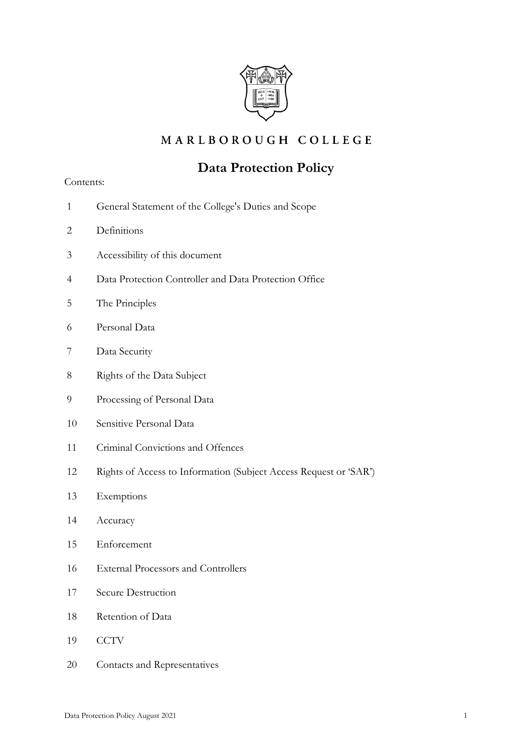

## MARLBOROUGH COLLEGE

# **Data Protection Policy**

### Contents:

- 1 General Statement of the College's Duties and Scope
- 2 Definitions
- 3 Accessibility of this document
- 4 Data Protection Controller and Data Protection Office
- 5 The Principles
- 6 Personal Data
- 7 Data Security
- 8 Rights of the Data Subject
- 9 Processing of Personal Data
- 10 Sensitive Personal Data
- 11 Criminal Convictions and Offences
- 12 Rights of Access to Information (Subject Access Request or 'SAR')
- 13 Exemptions
- 14 Accuracy
- 15 Enforcement
- 16 External Processors and Controllers
- 17 Secure Destruction
- 18 Retention of Data
- 19 CCTV
- 20 Contacts and Representatives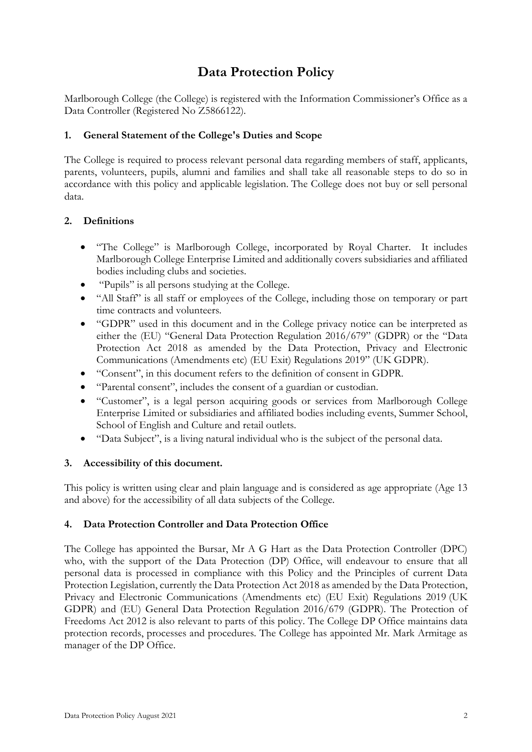# **Data Protection Policy**

Marlborough College (the College) is registered with the Information Commissioner's Office as a Data Controller (Registered No Z5866122).

## **1. General Statement of the College's Duties and Scope**

The College is required to process relevant personal data regarding members of staff, applicants, parents, volunteers, pupils, alumni and families and shall take all reasonable steps to do so in accordance with this policy and applicable legislation. The College does not buy or sell personal data.

## **2. Definitions**

- "The College" is Marlborough College, incorporated by Royal Charter. It includes Marlborough College Enterprise Limited and additionally covers subsidiaries and affiliated bodies including clubs and societies.
- "Pupils" is all persons studying at the College.
- "All Staff" is all staff or employees of the College, including those on temporary or part time contracts and volunteers.
- "GDPR" used in this document and in the College privacy notice can be interpreted as either the (EU) "General Data Protection Regulation 2016/679" (GDPR) or the "Data Protection Act 2018 as amended by the Data Protection, Privacy and Electronic Communications (Amendments etc) (EU Exit) Regulations 2019" (UK GDPR).
- "Consent", in this document refers to the definition of consent in GDPR.
- "Parental consent", includes the consent of a guardian or custodian.
- "Customer", is a legal person acquiring goods or services from Marlborough College Enterprise Limited or subsidiaries and affiliated bodies including events, Summer School, School of English and Culture and retail outlets.
- "Data Subject", is a living natural individual who is the subject of the personal data.

## **3. Accessibility of this document.**

This policy is written using clear and plain language and is considered as age appropriate (Age 13 and above) for the accessibility of all data subjects of the College.

## **4. Data Protection Controller and Data Protection Office**

The College has appointed the Bursar, Mr A G Hart as the Data Protection Controller (DPC) who, with the support of the Data Protection (DP) Office, will endeavour to ensure that all personal data is processed in compliance with this Policy and the Principles of current Data Protection Legislation, currently the Data Protection Act 2018 as amended by the Data Protection, Privacy and Electronic Communications (Amendments etc) (EU Exit) Regulations 2019 (UK GDPR) and (EU) General Data Protection Regulation 2016/679 (GDPR). The Protection of Freedoms Act 2012 is also relevant to parts of this policy. The College DP Office maintains data protection records, processes and procedures. The College has appointed Mr. Mark Armitage as manager of the DP Office.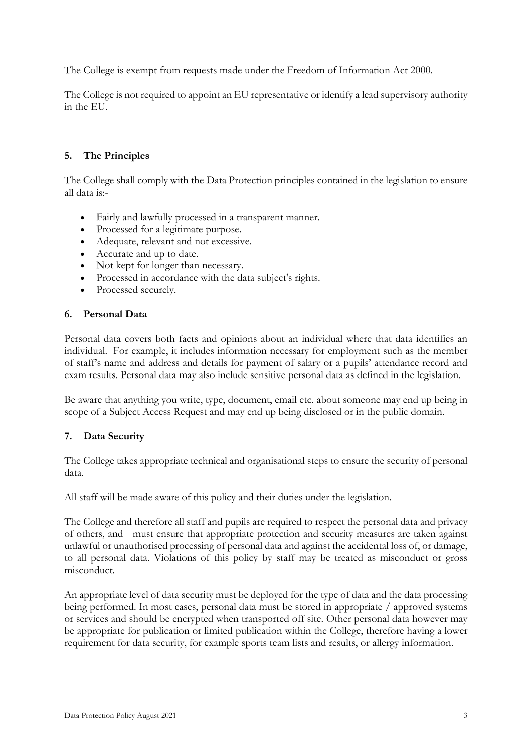The College is exempt from requests made under the Freedom of Information Act 2000.

The College is not required to appoint an EU representative or identify a lead supervisory authority in the EU.

## **5. The Principles**

The College shall comply with the Data Protection principles contained in the legislation to ensure all data is:-

- Fairly and lawfully processed in a transparent manner.
- Processed for a legitimate purpose.
- Adequate, relevant and not excessive.
- Accurate and up to date.
- Not kept for longer than necessary.
- Processed in accordance with the data subject's rights.
- Processed securely.

#### **6. Personal Data**

Personal data covers both facts and opinions about an individual where that data identifies an individual. For example, it includes information necessary for employment such as the member of staff's name and address and details for payment of salary or a pupils' attendance record and exam results. Personal data may also include sensitive personal data as defined in the legislation.

Be aware that anything you write, type, document, email etc. about someone may end up being in scope of a Subject Access Request and may end up being disclosed or in the public domain.

#### **7. Data Security**

The College takes appropriate technical and organisational steps to ensure the security of personal data.

All staff will be made aware of this policy and their duties under the legislation.

The College and therefore all staff and pupils are required to respect the personal data and privacy of others, and must ensure that appropriate protection and security measures are taken against unlawful or unauthorised processing of personal data and against the accidental loss of, or damage, to all personal data. Violations of this policy by staff may be treated as misconduct or gross misconduct.

An appropriate level of data security must be deployed for the type of data and the data processing being performed. In most cases, personal data must be stored in appropriate / approved systems or services and should be encrypted when transported off site. Other personal data however may be appropriate for publication or limited publication within the College, therefore having a lower requirement for data security, for example sports team lists and results, or allergy information.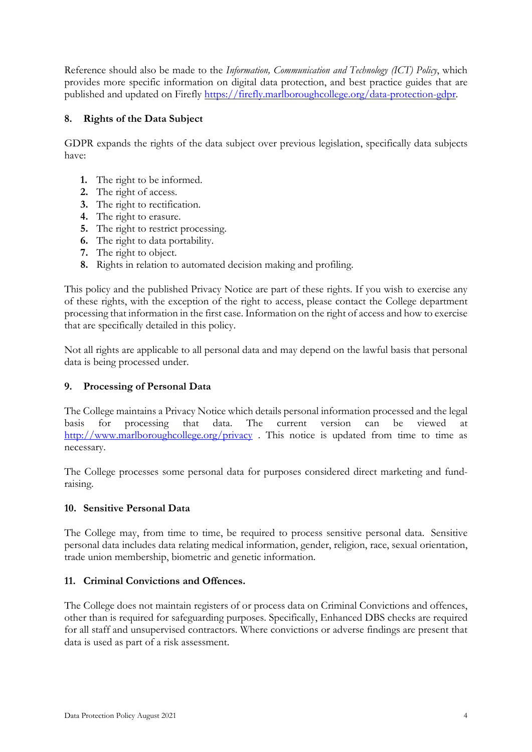Reference should also be made to the *Information, Communication and Technology (ICT) Policy*, which provides more specific information on digital data protection, and best practice guides that are published and updated on Firefly [https://firefly.marlboroughcollege.org/data-protection-gdpr.](https://firefly.marlboroughcollege.org/data-protection-gdpr)

## **8. Rights of the Data Subject**

GDPR expands the rights of the data subject over previous legislation, specifically data subjects have:

- **1.** The right to be informed.
- **2.** The right of access.
- **3.** The right to rectification.
- **4.** The right to erasure.
- **5.** The right to restrict processing.
- **6.** The right to data portability.
- **7.** The right to object.
- **8.** Rights in relation to automated decision making and profiling.

This policy and the published Privacy Notice are part of these rights. If you wish to exercise any of these rights, with the exception of the right to access, please contact the College department processing that information in the first case. Information on the right of access and how to exercise that are specifically detailed in this policy.

Not all rights are applicable to all personal data and may depend on the lawful basis that personal data is being processed under.

## **9. Processing of Personal Data**

The College maintains a Privacy Notice which details personal information processed and the legal basis for processing that data. The current version can be viewed at <http://www.marlboroughcollege.org/privacy>. This notice is updated from time to time as necessary.

The College processes some personal data for purposes considered direct marketing and fundraising.

#### **10. Sensitive Personal Data**

The College may, from time to time, be required to process sensitive personal data. Sensitive personal data includes data relating medical information, gender, religion, race, sexual orientation, trade union membership, biometric and genetic information.

#### **11. Criminal Convictions and Offences.**

The College does not maintain registers of or process data on Criminal Convictions and offences, other than is required for safeguarding purposes. Specifically, Enhanced DBS checks are required for all staff and unsupervised contractors. Where convictions or adverse findings are present that data is used as part of a risk assessment.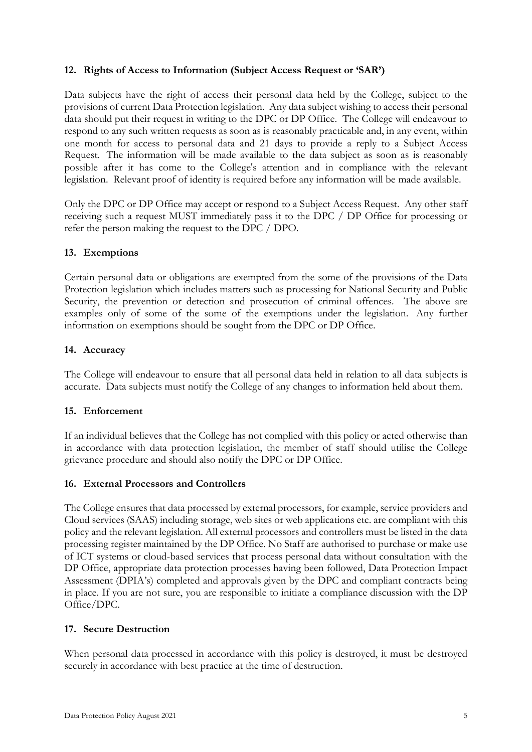### **12. Rights of Access to Information (Subject Access Request or 'SAR')**

Data subjects have the right of access their personal data held by the College, subject to the provisions of current Data Protection legislation. Any data subject wishing to access their personal data should put their request in writing to the DPC or DP Office. The College will endeavour to respond to any such written requests as soon as is reasonably practicable and, in any event, within one month for access to personal data and 21 days to provide a reply to a Subject Access Request. The information will be made available to the data subject as soon as is reasonably possible after it has come to the College's attention and in compliance with the relevant legislation. Relevant proof of identity is required before any information will be made available.

Only the DPC or DP Office may accept or respond to a Subject Access Request. Any other staff receiving such a request MUST immediately pass it to the DPC / DP Office for processing or refer the person making the request to the DPC / DPO.

### **13. Exemptions**

Certain personal data or obligations are exempted from the some of the provisions of the Data Protection legislation which includes matters such as processing for National Security and Public Security, the prevention or detection and prosecution of criminal offences. The above are examples only of some of the some of the exemptions under the legislation. Any further information on exemptions should be sought from the DPC or DP Office.

#### **14. Accuracy**

The College will endeavour to ensure that all personal data held in relation to all data subjects is accurate. Data subjects must notify the College of any changes to information held about them.

#### **15. Enforcement**

If an individual believes that the College has not complied with this policy or acted otherwise than in accordance with data protection legislation, the member of staff should utilise the College grievance procedure and should also notify the DPC or DP Office.

#### **16. External Processors and Controllers**

The College ensures that data processed by external processors, for example, service providers and Cloud services (SAAS) including storage, web sites or web applications etc. are compliant with this policy and the relevant legislation. All external processors and controllers must be listed in the data processing register maintained by the DP Office. No Staff are authorised to purchase or make use of ICT systems or cloud-based services that process personal data without consultation with the DP Office, appropriate data protection processes having been followed, Data Protection Impact Assessment (DPIA's) completed and approvals given by the DPC and compliant contracts being in place. If you are not sure, you are responsible to initiate a compliance discussion with the DP Office/DPC.

## **17. Secure Destruction**

When personal data processed in accordance with this policy is destroyed, it must be destroyed securely in accordance with best practice at the time of destruction.